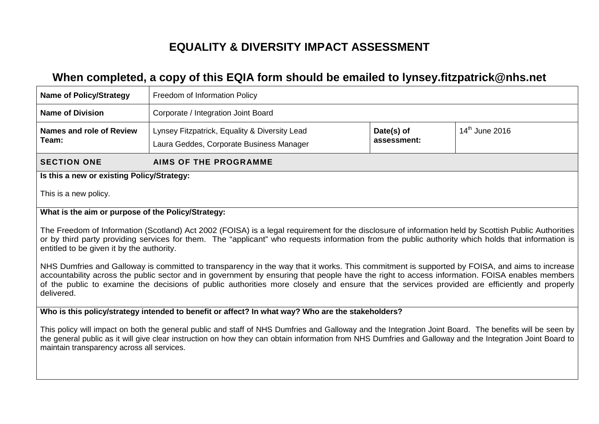# **EQUALITY & DIVERSITY IMPACT ASSESSMENT**

# **When completed, a copy of this EQIA form should be emailed to lynsey.fitzpatrick@nhs.net**

| <b>Name of Policy/Strategy</b>                                                                                                                                                                                                                                                                                                                                                                                                                              | Freedom of Information Policy                                                                                                                           |  |  |  |  |  |  |  |  |
|-------------------------------------------------------------------------------------------------------------------------------------------------------------------------------------------------------------------------------------------------------------------------------------------------------------------------------------------------------------------------------------------------------------------------------------------------------------|---------------------------------------------------------------------------------------------------------------------------------------------------------|--|--|--|--|--|--|--|--|
| <b>Name of Division</b>                                                                                                                                                                                                                                                                                                                                                                                                                                     | Corporate / Integration Joint Board                                                                                                                     |  |  |  |  |  |  |  |  |
| Names and role of Review<br>Team:                                                                                                                                                                                                                                                                                                                                                                                                                           | $14th$ June 2016<br>Lynsey Fitzpatrick, Equality & Diversity Lead<br>Date(s) of<br>assessment:<br>Laura Geddes, Corporate Business Manager              |  |  |  |  |  |  |  |  |
| <b>SECTION ONE</b>                                                                                                                                                                                                                                                                                                                                                                                                                                          | <b>AIMS OF THE PROGRAMME</b>                                                                                                                            |  |  |  |  |  |  |  |  |
| Is this a new or existing Policy/Strategy:                                                                                                                                                                                                                                                                                                                                                                                                                  |                                                                                                                                                         |  |  |  |  |  |  |  |  |
| This is a new policy.                                                                                                                                                                                                                                                                                                                                                                                                                                       |                                                                                                                                                         |  |  |  |  |  |  |  |  |
| What is the aim or purpose of the Policy/Strategy:                                                                                                                                                                                                                                                                                                                                                                                                          |                                                                                                                                                         |  |  |  |  |  |  |  |  |
| The Freedom of Information (Scotland) Act 2002 (FOISA) is a legal requirement for the disclosure of information held by Scottish Public Authorities<br>or by third party providing services for them. The "applicant" who requests information from the public authority which holds that information is<br>entitled to be given it by the authority.                                                                                                       |                                                                                                                                                         |  |  |  |  |  |  |  |  |
| NHS Dumfries and Galloway is committed to transparency in the way that it works. This commitment is supported by FOISA, and aims to increase<br>accountability across the public sector and in government by ensuring that people have the right to access information. FOISA enables members<br>of the public to examine the decisions of public authorities more closely and ensure that the services provided are efficiently and properly<br>delivered. |                                                                                                                                                         |  |  |  |  |  |  |  |  |
|                                                                                                                                                                                                                                                                                                                                                                                                                                                             | Who is this policy/strategy intended to benefit or affect? In what way? Who are the stakeholders?                                                       |  |  |  |  |  |  |  |  |
|                                                                                                                                                                                                                                                                                                                                                                                                                                                             | This policy will impact on both the general public and staff of NHS Dumfries and Galloway and the Integration Joint Board. The benefits will be seen by |  |  |  |  |  |  |  |  |

This policy will impact on both the general public and staff of NHS Dumfries and Galloway and the Integration Joint Board. The benefits will be seen by the general public as it will give clear instruction on how they can obtain information from NHS Dumfries and Galloway and the Integration Joint Board to maintain transparency across all services.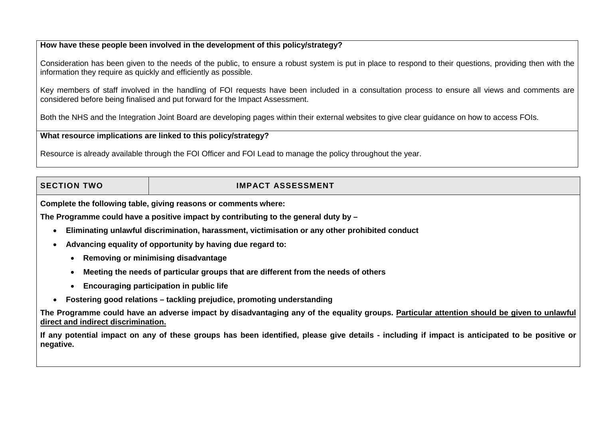### **How have these people been involved in the development of this policy/strategy?**

Consideration has been given to the needs of the public, to ensure a robust system is put in place to respond to their questions, providing then with the information they require as quickly and efficiently as possible.

Key members of staff involved in the handling of FOI requests have been included in a consultation process to ensure all views and comments are considered before being finalised and put forward for the Impact Assessment.

Both the NHS and the Integration Joint Board are developing pages within their external websites to give clear guidance on how to access FOIs.

### **What resource implications are linked to this policy/strategy?**

Resource is already available through the FOI Officer and FOI Lead to manage the policy throughout the year.

# **SECTION TWO IMPACT ASSESSMENT**

**Complete the following table, giving reasons or comments where:**

**The Programme could have a positive impact by contributing to the general duty by –**

- **Eliminating unlawful discrimination, harassment, victimisation or any other prohibited conduct**
- **Advancing equality of opportunity by having due regard to:**
	- **Removing or minimising disadvantage**
	- **Meeting the needs of particular groups that are different from the needs of others**
	- **Encouraging participation in public life**
- **Fostering good relations – tackling prejudice, promoting understanding**

**The Programme could have an adverse impact by disadvantaging any of the equality groups. Particular attention should be given to unlawful direct and indirect discrimination.**

**If any potential impact on any of these groups has been identified, please give details - including if impact is anticipated to be positive or negative.**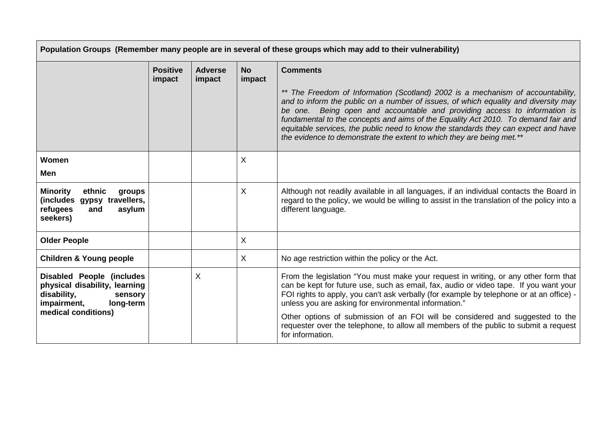| Population Groups (Remember many people are in several of these groups which may add to their vulnerability)                                   |                           |                          |                     |                                                                                                                                                                                                                                                                                                                                                                                                                                                                                                         |
|------------------------------------------------------------------------------------------------------------------------------------------------|---------------------------|--------------------------|---------------------|---------------------------------------------------------------------------------------------------------------------------------------------------------------------------------------------------------------------------------------------------------------------------------------------------------------------------------------------------------------------------------------------------------------------------------------------------------------------------------------------------------|
|                                                                                                                                                | <b>Positive</b><br>impact | <b>Adverse</b><br>impact | <b>No</b><br>impact | <b>Comments</b>                                                                                                                                                                                                                                                                                                                                                                                                                                                                                         |
|                                                                                                                                                |                           |                          |                     | ** The Freedom of Information (Scotland) 2002 is a mechanism of accountability,<br>and to inform the public on a number of issues, of which equality and diversity may<br>be one. Being open and accountable and providing access to information is<br>fundamental to the concepts and aims of the Equality Act 2010. To demand fair and<br>equitable services, the public need to know the standards they can expect and have<br>the evidence to demonstrate the extent to which they are being met.** |
| Women<br>Men                                                                                                                                   |                           |                          | X                   |                                                                                                                                                                                                                                                                                                                                                                                                                                                                                                         |
| <b>Minority</b><br>ethnic<br>groups<br>(includes gypsy travellers,<br>refugees<br>asylum<br>and<br>seekers)                                    |                           |                          | X                   | Although not readily available in all languages, if an individual contacts the Board in<br>regard to the policy, we would be willing to assist in the translation of the policy into a<br>different language.                                                                                                                                                                                                                                                                                           |
| <b>Older People</b>                                                                                                                            |                           |                          | X                   |                                                                                                                                                                                                                                                                                                                                                                                                                                                                                                         |
| <b>Children &amp; Young people</b>                                                                                                             |                           |                          | X                   | No age restriction within the policy or the Act.                                                                                                                                                                                                                                                                                                                                                                                                                                                        |
| <b>Disabled People (includes</b><br>physical disability, learning<br>disability,<br>sensory<br>long-term<br>impairment,<br>medical conditions) |                           | X                        |                     | From the legislation "You must make your request in writing, or any other form that<br>can be kept for future use, such as email, fax, audio or video tape. If you want your<br>FOI rights to apply, you can't ask verbally (for example by telephone or at an office) -<br>unless you are asking for environmental information."                                                                                                                                                                       |
|                                                                                                                                                |                           |                          |                     | Other options of submission of an FOI will be considered and suggested to the<br>requester over the telephone, to allow all members of the public to submit a request<br>for information.                                                                                                                                                                                                                                                                                                               |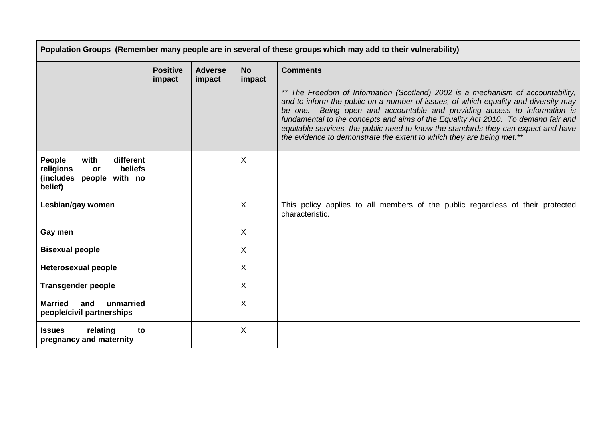| Population Groups (Remember many people are in several of these groups which may add to their vulnerability)   |                           |                          |                     |                                                                                                                                                                                                                                                                                                                                                                                                                                                                                                                            |
|----------------------------------------------------------------------------------------------------------------|---------------------------|--------------------------|---------------------|----------------------------------------------------------------------------------------------------------------------------------------------------------------------------------------------------------------------------------------------------------------------------------------------------------------------------------------------------------------------------------------------------------------------------------------------------------------------------------------------------------------------------|
|                                                                                                                | <b>Positive</b><br>impact | <b>Adverse</b><br>impact | <b>No</b><br>impact | <b>Comments</b><br>** The Freedom of Information (Scotland) 2002 is a mechanism of accountability,<br>and to inform the public on a number of issues, of which equality and diversity may<br>be one. Being open and accountable and providing access to information is<br>fundamental to the concepts and aims of the Equality Act 2010. To demand fair and<br>equitable services, the public need to know the standards they can expect and have<br>the evidence to demonstrate the extent to which they are being met.** |
| with<br>different<br><b>People</b><br><b>beliefs</b><br>religions<br>or<br>(includes people with no<br>belief) |                           |                          | X                   |                                                                                                                                                                                                                                                                                                                                                                                                                                                                                                                            |
| Lesbian/gay women                                                                                              |                           |                          | $\sf X$             | This policy applies to all members of the public regardless of their protected<br>characteristic.                                                                                                                                                                                                                                                                                                                                                                                                                          |
| Gay men                                                                                                        |                           |                          | X                   |                                                                                                                                                                                                                                                                                                                                                                                                                                                                                                                            |
| <b>Bisexual people</b>                                                                                         |                           |                          | X                   |                                                                                                                                                                                                                                                                                                                                                                                                                                                                                                                            |
| <b>Heterosexual people</b>                                                                                     |                           |                          | X                   |                                                                                                                                                                                                                                                                                                                                                                                                                                                                                                                            |
| <b>Transgender people</b>                                                                                      |                           |                          | X                   |                                                                                                                                                                                                                                                                                                                                                                                                                                                                                                                            |
| <b>Married</b><br>and<br>unmarried<br>people/civil partnerships                                                |                           |                          | X                   |                                                                                                                                                                                                                                                                                                                                                                                                                                                                                                                            |
| relating<br><b>Issues</b><br>to<br>pregnancy and maternity                                                     |                           |                          | X                   |                                                                                                                                                                                                                                                                                                                                                                                                                                                                                                                            |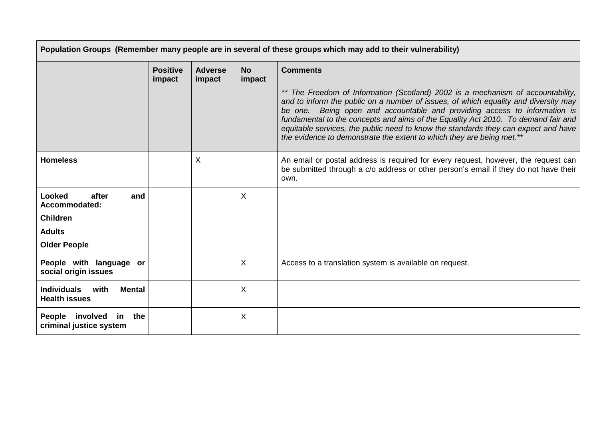| Population Groups (Remember many people are in several of these groups which may add to their vulnerability) |                           |                          |                     |                                                                                                                                                                                                                                                                                                                                                                                                                                                                                                         |
|--------------------------------------------------------------------------------------------------------------|---------------------------|--------------------------|---------------------|---------------------------------------------------------------------------------------------------------------------------------------------------------------------------------------------------------------------------------------------------------------------------------------------------------------------------------------------------------------------------------------------------------------------------------------------------------------------------------------------------------|
|                                                                                                              | <b>Positive</b><br>impact | <b>Adverse</b><br>impact | <b>No</b><br>impact | <b>Comments</b>                                                                                                                                                                                                                                                                                                                                                                                                                                                                                         |
|                                                                                                              |                           |                          |                     | ** The Freedom of Information (Scotland) 2002 is a mechanism of accountability,<br>and to inform the public on a number of issues, of which equality and diversity may<br>be one. Being open and accountable and providing access to information is<br>fundamental to the concepts and aims of the Equality Act 2010. To demand fair and<br>equitable services, the public need to know the standards they can expect and have<br>the evidence to demonstrate the extent to which they are being met.** |
| <b>Homeless</b>                                                                                              |                           | X                        |                     | An email or postal address is required for every request, however, the request can<br>be submitted through a c/o address or other person's email if they do not have their<br>own.                                                                                                                                                                                                                                                                                                                      |
| Looked<br>after<br>and<br>Accommodated:<br><b>Children</b><br><b>Adults</b><br><b>Older People</b>           |                           |                          | X                   |                                                                                                                                                                                                                                                                                                                                                                                                                                                                                                         |
| People with language or<br>social origin issues                                                              |                           |                          | X                   | Access to a translation system is available on request.                                                                                                                                                                                                                                                                                                                                                                                                                                                 |
| <b>Individuals</b><br>with<br><b>Mental</b><br><b>Health issues</b>                                          |                           |                          | X                   |                                                                                                                                                                                                                                                                                                                                                                                                                                                                                                         |
| People involved in<br>the<br>criminal justice system                                                         |                           |                          | X                   |                                                                                                                                                                                                                                                                                                                                                                                                                                                                                                         |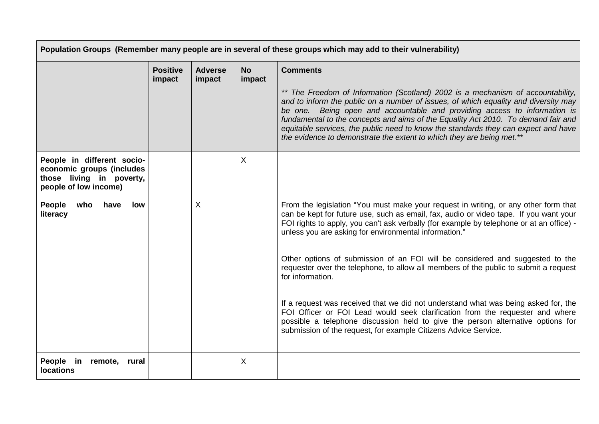|                                                                                                              |                           |                          |                     | Population Groups (Remember many people are in several of these groups which may add to their vulnerability)                                                                                                                                                                                                                                                                                                                                                                                            |
|--------------------------------------------------------------------------------------------------------------|---------------------------|--------------------------|---------------------|---------------------------------------------------------------------------------------------------------------------------------------------------------------------------------------------------------------------------------------------------------------------------------------------------------------------------------------------------------------------------------------------------------------------------------------------------------------------------------------------------------|
|                                                                                                              | <b>Positive</b><br>impact | <b>Adverse</b><br>impact | <b>No</b><br>impact | <b>Comments</b>                                                                                                                                                                                                                                                                                                                                                                                                                                                                                         |
|                                                                                                              |                           |                          |                     | ** The Freedom of Information (Scotland) 2002 is a mechanism of accountability,<br>and to inform the public on a number of issues, of which equality and diversity may<br>be one. Being open and accountable and providing access to information is<br>fundamental to the concepts and aims of the Equality Act 2010. To demand fair and<br>equitable services, the public need to know the standards they can expect and have<br>the evidence to demonstrate the extent to which they are being met.** |
| People in different socio-<br>economic groups (includes<br>those living in poverty,<br>people of low income) |                           |                          | X                   |                                                                                                                                                                                                                                                                                                                                                                                                                                                                                                         |
| People<br>who<br>have<br>low<br>literacy                                                                     |                           | Χ                        |                     | From the legislation "You must make your request in writing, or any other form that<br>can be kept for future use, such as email, fax, audio or video tape. If you want your<br>FOI rights to apply, you can't ask verbally (for example by telephone or at an office) -<br>unless you are asking for environmental information."                                                                                                                                                                       |
|                                                                                                              |                           |                          |                     | Other options of submission of an FOI will be considered and suggested to the<br>requester over the telephone, to allow all members of the public to submit a request<br>for information.                                                                                                                                                                                                                                                                                                               |
|                                                                                                              |                           |                          |                     | If a request was received that we did not understand what was being asked for, the<br>FOI Officer or FOI Lead would seek clarification from the requester and where<br>possible a telephone discussion held to give the person alternative options for<br>submission of the request, for example Citizens Advice Service.                                                                                                                                                                               |
| People in remote, rural<br><b>locations</b>                                                                  |                           |                          | X                   |                                                                                                                                                                                                                                                                                                                                                                                                                                                                                                         |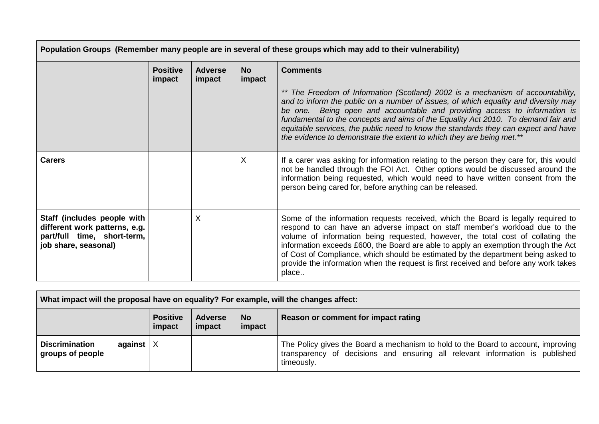| Population Groups (Remember many people are in several of these groups which may add to their vulnerability)        |                           |                          |                     |                                                                                                                                                                                                                                                                                                                                                                                                                                                                                                                                 |
|---------------------------------------------------------------------------------------------------------------------|---------------------------|--------------------------|---------------------|---------------------------------------------------------------------------------------------------------------------------------------------------------------------------------------------------------------------------------------------------------------------------------------------------------------------------------------------------------------------------------------------------------------------------------------------------------------------------------------------------------------------------------|
|                                                                                                                     | <b>Positive</b><br>impact | <b>Adverse</b><br>impact | <b>No</b><br>impact | <b>Comments</b><br>** The Freedom of Information (Scotland) 2002 is a mechanism of accountability,<br>and to inform the public on a number of issues, of which equality and diversity may<br>be one. Being open and accountable and providing access to information is<br>fundamental to the concepts and aims of the Equality Act 2010. To demand fair and<br>equitable services, the public need to know the standards they can expect and have<br>the evidence to demonstrate the extent to which they are being met.**      |
| <b>Carers</b>                                                                                                       |                           |                          | X                   | If a carer was asking for information relating to the person they care for, this would<br>not be handled through the FOI Act. Other options would be discussed around the<br>information being requested, which would need to have written consent from the<br>person being cared for, before anything can be released.                                                                                                                                                                                                         |
| Staff (includes people with<br>different work patterns, e.g.<br>part/full time, short-term,<br>job share, seasonal) |                           | X                        |                     | Some of the information requests received, which the Board is legally required to<br>respond to can have an adverse impact on staff member's workload due to the<br>volume of information being requested, however, the total cost of collating the<br>information exceeds £600, the Board are able to apply an exemption through the Act<br>of Cost of Compliance, which should be estimated by the department being asked to<br>provide the information when the request is first received and before any work takes<br>place |

| What impact will the proposal have on equality? For example, will the changes affect: |                           |                          |                     |                                                                                                                                                                                 |
|---------------------------------------------------------------------------------------|---------------------------|--------------------------|---------------------|---------------------------------------------------------------------------------------------------------------------------------------------------------------------------------|
|                                                                                       | <b>Positive</b><br>impact | <b>Adverse</b><br>impact | <b>No</b><br>impact | Reason or comment for impact rating                                                                                                                                             |
| <b>Discrimination</b><br>against $ X $<br>groups of people                            |                           |                          |                     | The Policy gives the Board a mechanism to hold to the Board to account, improving<br>transparency of decisions and ensuring all relevant information is published<br>timeously. |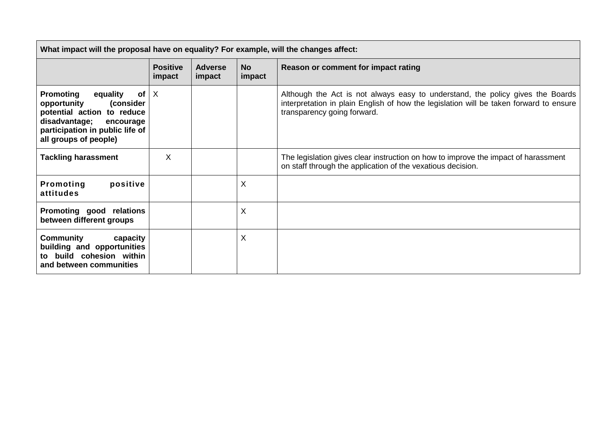| What impact will the proposal have on equality? For example, will the changes affect:                                                                                                               |                           |                          |                     |                                                                                                                                                                                                         |  |
|-----------------------------------------------------------------------------------------------------------------------------------------------------------------------------------------------------|---------------------------|--------------------------|---------------------|---------------------------------------------------------------------------------------------------------------------------------------------------------------------------------------------------------|--|
|                                                                                                                                                                                                     | <b>Positive</b><br>impact | <b>Adverse</b><br>impact | <b>No</b><br>impact | Reason or comment for impact rating                                                                                                                                                                     |  |
| <b>Promoting</b><br>equality<br>of <sub>l</sub><br>opportunity<br>(consider<br>potential action to reduce<br>disadvantage;<br>encourage<br>participation in public life of<br>all groups of people) | $\times$                  |                          |                     | Although the Act is not always easy to understand, the policy gives the Boards<br>interpretation in plain English of how the legislation will be taken forward to ensure<br>transparency going forward. |  |
| <b>Tackling harassment</b>                                                                                                                                                                          | X                         |                          |                     | The legislation gives clear instruction on how to improve the impact of harassment<br>on staff through the application of the vexatious decision.                                                       |  |
| positive<br>Promoting<br>attitudes                                                                                                                                                                  |                           |                          | X                   |                                                                                                                                                                                                         |  |
| Promoting good relations<br>between different groups                                                                                                                                                |                           |                          | X                   |                                                                                                                                                                                                         |  |
| Community<br>capacity<br>building and opportunities<br>to build cohesion within<br>and between communities                                                                                          |                           |                          | X                   |                                                                                                                                                                                                         |  |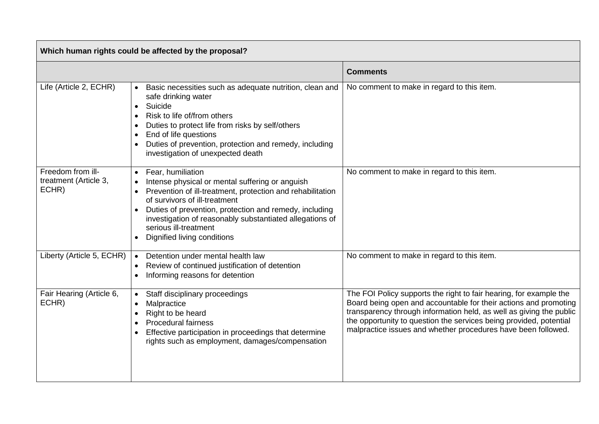| Which human rights could be affected by the proposal? |                                                                                                                                                                                                                                                                                                                                                   |                                                                                                                                                                                                                                                                                                                                                      |  |  |  |  |
|-------------------------------------------------------|---------------------------------------------------------------------------------------------------------------------------------------------------------------------------------------------------------------------------------------------------------------------------------------------------------------------------------------------------|------------------------------------------------------------------------------------------------------------------------------------------------------------------------------------------------------------------------------------------------------------------------------------------------------------------------------------------------------|--|--|--|--|
|                                                       |                                                                                                                                                                                                                                                                                                                                                   | <b>Comments</b>                                                                                                                                                                                                                                                                                                                                      |  |  |  |  |
| Life (Article 2, ECHR)                                | Basic necessities such as adequate nutrition, clean and<br>safe drinking water<br>Suicide<br>Risk to life of/from others<br>Duties to protect life from risks by self/others<br>End of life questions<br>Duties of prevention, protection and remedy, including<br>investigation of unexpected death                                              | No comment to make in regard to this item.                                                                                                                                                                                                                                                                                                           |  |  |  |  |
| Freedom from ill-<br>treatment (Article 3,<br>ECHR)   | Fear, humiliation<br>Intense physical or mental suffering or anguish<br>Prevention of ill-treatment, protection and rehabilitation<br>of survivors of ill-treatment<br>Duties of prevention, protection and remedy, including<br>investigation of reasonably substantiated allegations of<br>serious ill-treatment<br>Dignified living conditions | No comment to make in regard to this item.                                                                                                                                                                                                                                                                                                           |  |  |  |  |
| Liberty (Article 5, ECHR)                             | Detention under mental health law<br>Review of continued justification of detention<br>Informing reasons for detention                                                                                                                                                                                                                            | No comment to make in regard to this item.                                                                                                                                                                                                                                                                                                           |  |  |  |  |
| Fair Hearing (Article 6,<br>ECHR)                     | Staff disciplinary proceedings<br>Malpractice<br>Right to be heard<br><b>Procedural fairness</b><br>Effective participation in proceedings that determine<br>rights such as employment, damages/compensation                                                                                                                                      | The FOI Policy supports the right to fair hearing, for example the<br>Board being open and accountable for their actions and promoting<br>transparency through information held, as well as giving the public<br>the opportunity to question the services being provided, potential<br>malpractice issues and whether procedures have been followed. |  |  |  |  |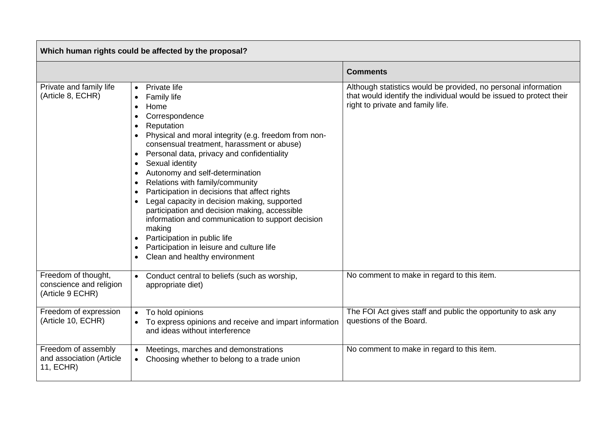| Which human rights could be affected by the proposal?              |                                                                                                                                                                                                                                                                                                                                                                                                                                                                                                                                                                                                                                                                                                                                            |                                                                                                                                                                            |  |  |  |  |
|--------------------------------------------------------------------|--------------------------------------------------------------------------------------------------------------------------------------------------------------------------------------------------------------------------------------------------------------------------------------------------------------------------------------------------------------------------------------------------------------------------------------------------------------------------------------------------------------------------------------------------------------------------------------------------------------------------------------------------------------------------------------------------------------------------------------------|----------------------------------------------------------------------------------------------------------------------------------------------------------------------------|--|--|--|--|
|                                                                    |                                                                                                                                                                                                                                                                                                                                                                                                                                                                                                                                                                                                                                                                                                                                            | <b>Comments</b>                                                                                                                                                            |  |  |  |  |
| Private and family life<br>(Article 8, ECHR)                       | Private life<br>$\bullet$<br>Family life<br>Home<br>$\bullet$<br>Correspondence<br>Reputation<br>Physical and moral integrity (e.g. freedom from non-<br>consensual treatment, harassment or abuse)<br>Personal data, privacy and confidentiality<br>Sexual identity<br>$\bullet$<br>Autonomy and self-determination<br>$\bullet$<br>Relations with family/community<br>$\bullet$<br>Participation in decisions that affect rights<br>$\bullet$<br>Legal capacity in decision making, supported<br>participation and decision making, accessible<br>information and communication to support decision<br>making<br>Participation in public life<br>Participation in leisure and culture life<br>Clean and healthy environment<br>$\bullet$ | Although statistics would be provided, no personal information<br>that would identify the individual would be issued to protect their<br>right to private and family life. |  |  |  |  |
| Freedom of thought,<br>conscience and religion<br>(Article 9 ECHR) | Conduct central to beliefs (such as worship,<br>appropriate diet)                                                                                                                                                                                                                                                                                                                                                                                                                                                                                                                                                                                                                                                                          | No comment to make in regard to this item.                                                                                                                                 |  |  |  |  |
| Freedom of expression<br>(Article 10, ECHR)                        | To hold opinions<br>To express opinions and receive and impart information<br>and ideas without interference                                                                                                                                                                                                                                                                                                                                                                                                                                                                                                                                                                                                                               | The FOI Act gives staff and public the opportunity to ask any<br>questions of the Board.                                                                                   |  |  |  |  |
| Freedom of assembly<br>and association (Article<br>11, ECHR)       | Meetings, marches and demonstrations<br>Choosing whether to belong to a trade union                                                                                                                                                                                                                                                                                                                                                                                                                                                                                                                                                                                                                                                        | No comment to make in regard to this item.                                                                                                                                 |  |  |  |  |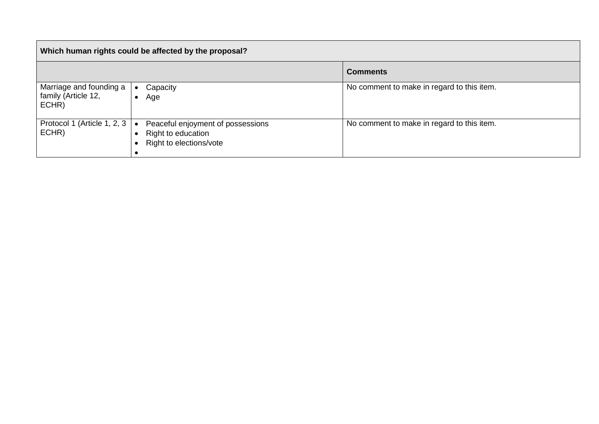| Which human rights could be affected by the proposal?   |                                                                                    |                                            |  |  |  |  |
|---------------------------------------------------------|------------------------------------------------------------------------------------|--------------------------------------------|--|--|--|--|
|                                                         |                                                                                    | <b>Comments</b>                            |  |  |  |  |
| Marriage and founding a<br>family (Article 12,<br>ECHR) | Capacity<br>Age                                                                    | No comment to make in regard to this item. |  |  |  |  |
| Protocol 1 (Article 1, 2, 3<br>ECHR)                    | Peaceful enjoyment of possessions<br>Right to education<br>Right to elections/vote | No comment to make in regard to this item. |  |  |  |  |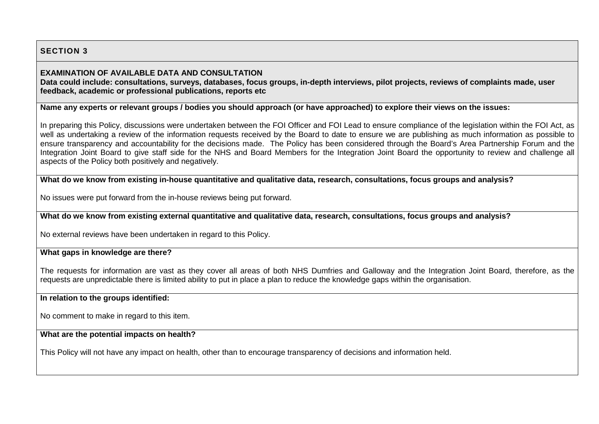# **SECTION 3**

### **EXAMINATION OF AVAILABLE DATA AND CONSULTATION**

**Data could include: consultations, surveys, databases, focus groups, in-depth interviews, pilot projects, reviews of complaints made, user feedback, academic or professional publications, reports etc**

**Name any experts or relevant groups / bodies you should approach (or have approached) to explore their views on the issues:**

In preparing this Policy, discussions were undertaken between the FOI Officer and FOI Lead to ensure compliance of the legislation within the FOI Act, as well as undertaking a review of the information requests received by the Board to date to ensure we are publishing as much information as possible to ensure transparency and accountability for the decisions made. The Policy has been considered through the Board's Area Partnership Forum and the Integration Joint Board to give staff side for the NHS and Board Members for the Integration Joint Board the opportunity to review and challenge all aspects of the Policy both positively and negatively.

**What do we know from existing in-house quantitative and qualitative data, research, consultations, focus groups and analysis?**

No issues were put forward from the in-house reviews being put forward.

**What do we know from existing external quantitative and qualitative data, research, consultations, focus groups and analysis?**

No external reviews have been undertaken in regard to this Policy.

# **What gaps in knowledge are there?**

The requests for information are vast as they cover all areas of both NHS Dumfries and Galloway and the Integration Joint Board, therefore, as the requests are unpredictable there is limited ability to put in place a plan to reduce the knowledge gaps within the organisation.

## **In relation to the groups identified:**

No comment to make in regard to this item.

# **What are the potential impacts on health?**

This Policy will not have any impact on health, other than to encourage transparency of decisions and information held.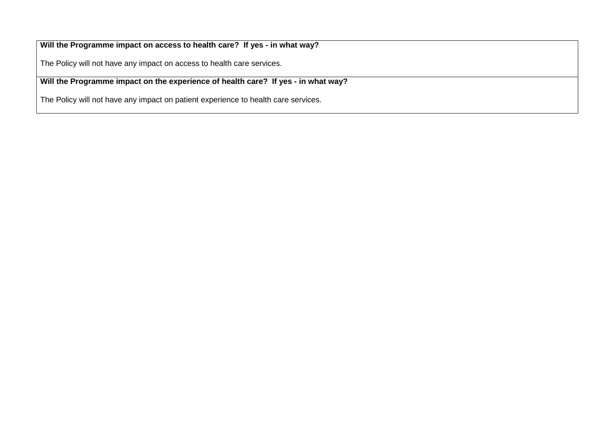**Will the Programme impact on access to health care? If yes - in what way?**

The Policy will not have any impact on access to health care services.

**Will the Programme impact on the experience of health care? If yes - in what way?**

The Policy will not have any impact on patient experience to health care services.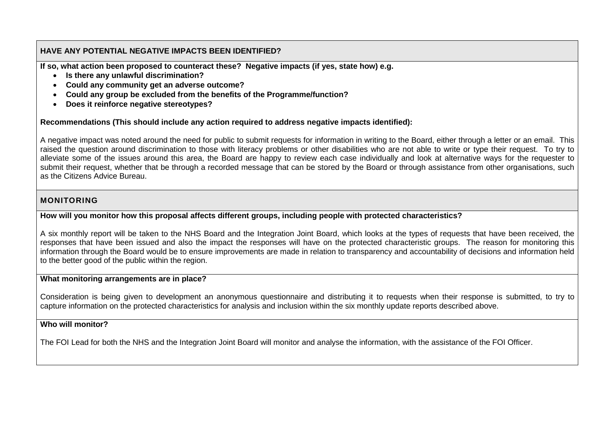## **HAVE ANY POTENTIAL NEGATIVE IMPACTS BEEN IDENTIFIED?**

**If so, what action been proposed to counteract these? Negative impacts (if yes, state how) e.g.**

- **Is there any unlawful discrimination?**
- **Could any community get an adverse outcome?**
- **Could any group be excluded from the benefits of the Programme/function?**
- **Does it reinforce negative stereotypes?**

#### **Recommendations (This should include any action required to address negative impacts identified):**

A negative impact was noted around the need for public to submit requests for information in writing to the Board, either through a letter or an email. This raised the question around discrimination to those with literacy problems or other disabilities who are not able to write or type their request. To try to alleviate some of the issues around this area, the Board are happy to review each case individually and look at alternative ways for the requester to submit their request, whether that be through a recorded message that can be stored by the Board or through assistance from other organisations, such as the Citizens Advice Bureau.

# **MONITORING**

### **How will you monitor how this proposal affects different groups, including people with protected characteristics?**

A six monthly report will be taken to the NHS Board and the Integration Joint Board, which looks at the types of requests that have been received, the responses that have been issued and also the impact the responses will have on the protected characteristic groups. The reason for monitoring this information through the Board would be to ensure improvements are made in relation to transparency and accountability of decisions and information held to the better good of the public within the region.

#### **What monitoring arrangements are in place?**

Consideration is being given to development an anonymous questionnaire and distributing it to requests when their response is submitted, to try to capture information on the protected characteristics for analysis and inclusion within the six monthly update reports described above.

#### **Who will monitor?**

The FOI Lead for both the NHS and the Integration Joint Board will monitor and analyse the information, with the assistance of the FOI Officer.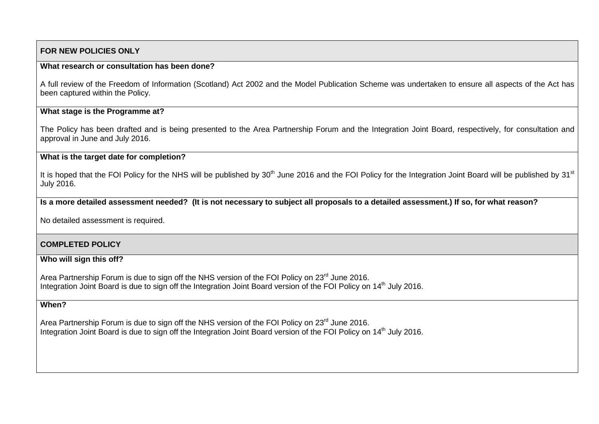#### **FOR NEW POLICIES ONLY**

#### **What research or consultation has been done?**

A full review of the Freedom of Information (Scotland) Act 2002 and the Model Publication Scheme was undertaken to ensure all aspects of the Act has been captured within the Policy.

#### **What stage is the Programme at?**

The Policy has been drafted and is being presented to the Area Partnership Forum and the Integration Joint Board, respectively, for consultation and approval in June and July 2016.

#### **What is the target date for completion?**

It is hoped that the FOI Policy for the NHS will be published by  $30<sup>th</sup>$  June 2016 and the FOI Policy for the Integration Joint Board will be published by  $31<sup>st</sup>$ July 2016.

**Is a more detailed assessment needed? (It is not necessary to subject all proposals to a detailed assessment.) If so, for what reason?**

No detailed assessment is required.

#### **COMPLETED POLICY**

#### **Who will sign this off?**

Area Partnership Forum is due to sign off the NHS version of the FOI Policy on 23<sup>rd</sup> June 2016. Integration Joint Board is due to sign off the Integration Joint Board version of the FOI Policy on 14<sup>th</sup> July 2016.

#### **When?**

Area Partnership Forum is due to sign off the NHS version of the FOI Policy on 23<sup>rd</sup> June 2016. Integration Joint Board is due to sign off the Integration Joint Board version of the FOI Policy on 14<sup>th</sup> July 2016.